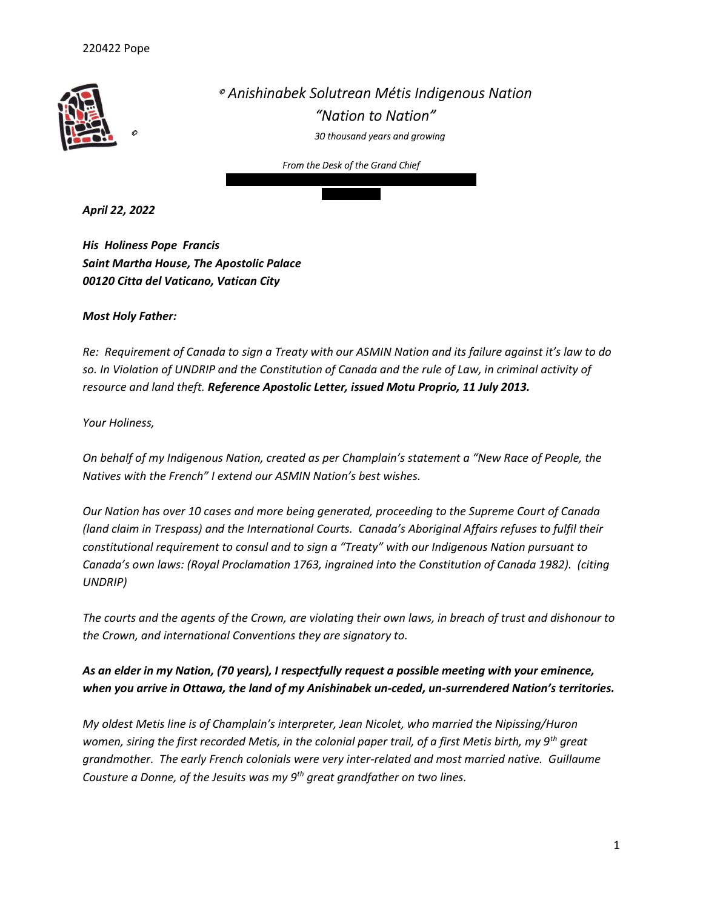

 Anishinabek Solutrean Métis Indigenous Nation "Nation to Nation" 30 thousand years and growing

From the Desk of the Grand Chief Northern Address 23 Mona Dr. Manitouwadge, On P0T 2C0

705-380-5629

April 22, 2022

His Holiness Pope Francis Saint Martha House, The Apostolic Palace 00120 Citta del Vaticano, Vatican City

## Most Holy Father:

Re: Requirement of Canada to sign a Treaty with our ASMIN Nation and its failure against it's law to do so. In Violation of UNDRIP and the Constitution of Canada and the rule of Law, in criminal activity of resource and land theft. Reference Apostolic Letter, issued Motu Proprio, 11 July 2013.

## Your Holiness,

On behalf of my Indigenous Nation, created as per Champlain's statement a "New Race of People, the Natives with the French" I extend our ASMIN Nation's best wishes.

Our Nation has over 10 cases and more being generated, proceeding to the Supreme Court of Canada (land claim in Trespass) and the International Courts. Canada's Aboriginal Affairs refuses to fulfil their constitutional requirement to consul and to sign a "Treaty" with our Indigenous Nation pursuant to Canada's own laws: (Royal Proclamation 1763, ingrained into the Constitution of Canada 1982). (citing UNDRIP)

The courts and the agents of the Crown, are violating their own laws, in breach of trust and dishonour to the Crown, and international Conventions they are signatory to.

## As an elder in my Nation, (70 years), I respectfully request a possible meeting with your eminence, when you arrive in Ottawa, the land of my Anishinabek un-ceded, un-surrendered Nation's territories.

My oldest Metis line is of Champlain's interpreter, Jean Nicolet, who married the Nipissing/Huron women, siring the first recorded Metis, in the colonial paper trail, of a first Metis birth, my 9<sup>th</sup> great grandmother. The early French colonials were very inter-related and most married native. Guillaume Cousture a Donne, of the Jesuits was my  $9<sup>th</sup>$  great grandfather on two lines.